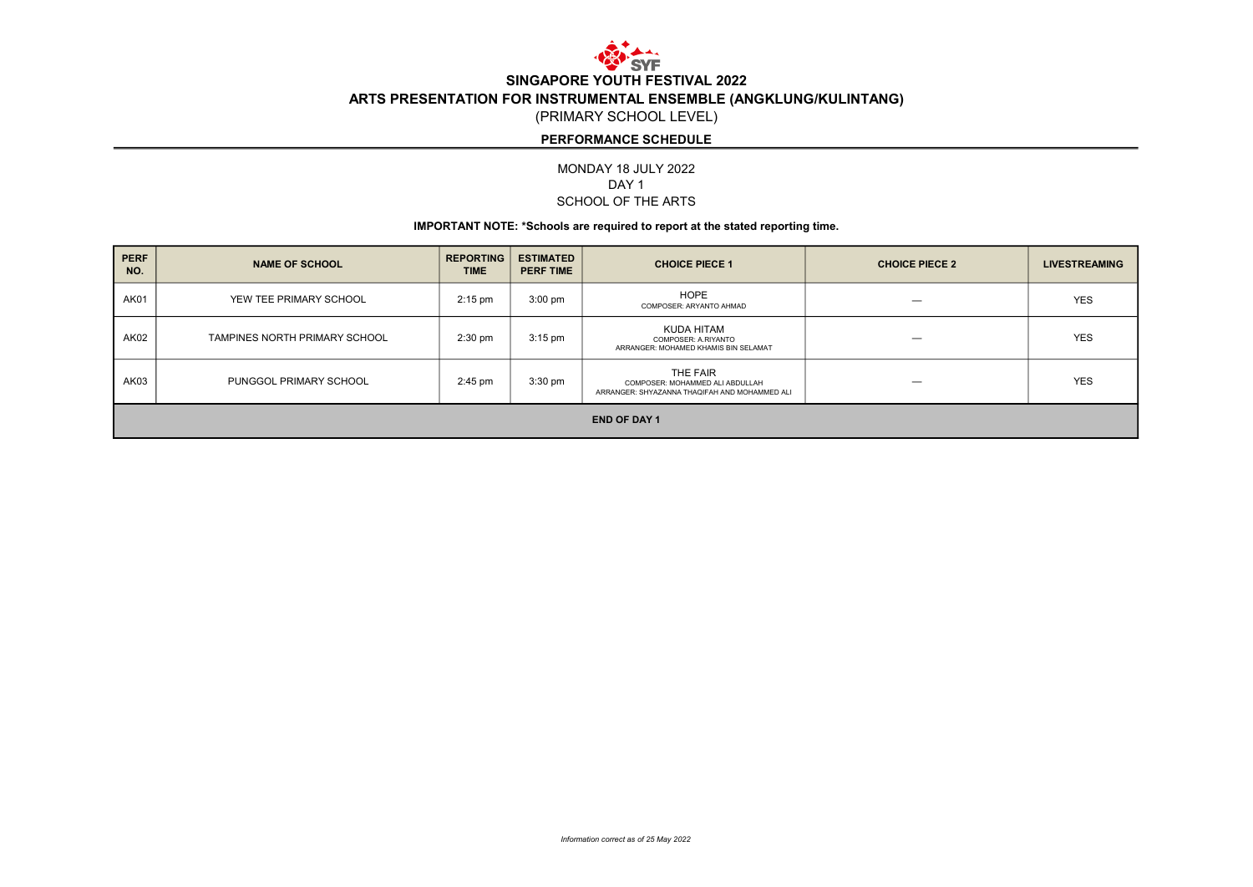

# SINGAPORE YOUTH FESTIVAL 2022 ARTS PRESENTATION FOR INSTRUMENTAL ENSEMBLE (ANGKLUNG/KULINTANG)

(PRIMARY SCHOOL LEVEL)

## PERFORMANCE SCHEDULE

MONDAY 18 JULY 2022 SCHOOL OF THE ARTS DAY<sub>1</sub>

#### IMPORTANT NOTE: \*Schools are required to report at the stated reporting time.

| <b>PERF</b><br>NO.  | <b>NAME OF SCHOOL</b>         | <b>REPORTING</b><br><b>TIME</b> | <b>ESTIMATED</b><br><b>PERF TIME</b> | <b>CHOICE PIECE 1</b>                                                                        | <b>CHOICE PIECE 2</b> | <b>LIVESTREAMING</b> |  |
|---------------------|-------------------------------|---------------------------------|--------------------------------------|----------------------------------------------------------------------------------------------|-----------------------|----------------------|--|
| <b>AK01</b>         | YEW TEE PRIMARY SCHOOL        | $2:15$ pm                       | $3:00 \text{ pm}$                    | HOPE<br>COMPOSER: ARYANTO AHMAD                                                              |                       | <b>YES</b>           |  |
| AK02                | TAMPINES NORTH PRIMARY SCHOOL | $2:30$ pm                       | $3:15$ pm                            | KUDA HITAM<br>COMPOSER: A.RIYANTO<br>ARRANGER: MOHAMED KHAMIS BIN SELAMAT                    |                       | <b>YES</b>           |  |
| AK03                | PUNGGOL PRIMARY SCHOOL        | $2:45$ pm                       | $3:30$ pm                            | THE FAIR<br>COMPOSER: MOHAMMED ALI ABDULLAH<br>ARRANGER: SHYAZANNA THAQIFAH AND MOHAMMED ALI |                       | <b>YES</b>           |  |
| <b>END OF DAY 1</b> |                               |                                 |                                      |                                                                                              |                       |                      |  |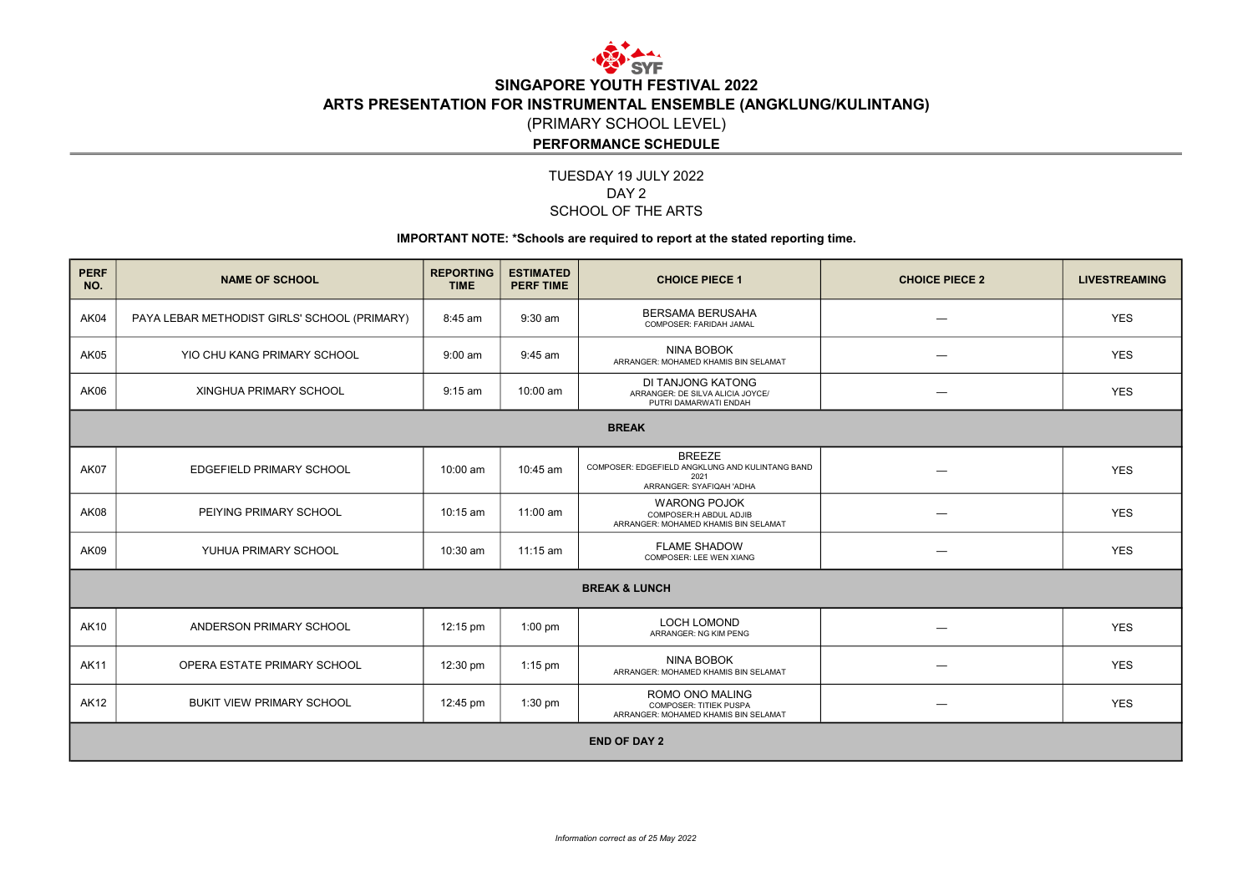

# SINGAPORE YOUTH FESTIVAL 2022 ARTS PRESENTATION FOR INSTRUMENTAL ENSEMBLE (ANGKLUNG/KULINTANG) (PRIMARY SCHOOL LEVEL)

### PERFORMANCE SCHEDULE

### TUESDAY 19 JULY 2022 SCHOOL OF THE ARTS DAY<sub>2</sub>

#### IMPORTANT NOTE: \*Schools are required to report at the stated reporting time.

| <b>PERF</b><br>NO.       | <b>NAME OF SCHOOL</b>                        | <b>REPORTING</b><br><b>TIME</b> | <b>ESTIMATED</b><br><b>PERF TIME</b> | <b>CHOICE PIECE 1</b>                                                                                | <b>CHOICE PIECE 2</b> | <b>LIVESTREAMING</b> |  |  |
|--------------------------|----------------------------------------------|---------------------------------|--------------------------------------|------------------------------------------------------------------------------------------------------|-----------------------|----------------------|--|--|
| AK04                     | PAYA LEBAR METHODIST GIRLS' SCHOOL (PRIMARY) | 8:45 am                         | $9:30$ am                            | <b>BERSAMA BERUSAHA</b><br>COMPOSER: FARIDAH JAMAL                                                   |                       | <b>YES</b>           |  |  |
| AK05                     | YIO CHU KANG PRIMARY SCHOOL                  | $9:00$ am                       | $9:45$ am                            | <b>NINA BOBOK</b><br>ARRANGER: MOHAMED KHAMIS BIN SELAMAT                                            | -                     | <b>YES</b>           |  |  |
| AK06                     | XINGHUA PRIMARY SCHOOL                       | $9:15$ am                       | 10:00 am                             | DI TANJONG KATONG<br>ARRANGER: DE SILVA ALICIA JOYCE/<br>PUTRI DAMARWATI ENDAH                       |                       | <b>YES</b>           |  |  |
| <b>BREAK</b>             |                                              |                                 |                                      |                                                                                                      |                       |                      |  |  |
| AK07                     | <b>EDGEFIELD PRIMARY SCHOOL</b>              | 10:00 am                        | 10:45 am                             | <b>BREEZE</b><br>COMPOSER: EDGEFIELD ANGKLUNG AND KULINTANG BAND<br>2021<br>ARRANGER: SYAFIQAH 'ADHA |                       | <b>YES</b>           |  |  |
| AK08                     | PEIYING PRIMARY SCHOOL                       | 10:15 am                        | 11:00 am                             | <b>WARONG POJOK</b><br>COMPOSER:H ABDUL ADJIB<br>ARRANGER: MOHAMED KHAMIS BIN SELAMAT                | --                    | <b>YES</b>           |  |  |
| AK09                     | YUHUA PRIMARY SCHOOL                         | 10:30 am                        | 11:15 am                             | <b>FLAME SHADOW</b><br>COMPOSER: LEE WEN XIANG                                                       |                       | <b>YES</b>           |  |  |
| <b>BREAK &amp; LUNCH</b> |                                              |                                 |                                      |                                                                                                      |                       |                      |  |  |
| <b>AK10</b>              | ANDERSON PRIMARY SCHOOL                      | 12:15 pm                        | $1:00$ pm                            | <b>LOCH LOMOND</b><br>ARRANGER: NG KIM PENG                                                          |                       | <b>YES</b>           |  |  |
| <b>AK11</b>              | OPERA ESTATE PRIMARY SCHOOL                  | 12:30 pm                        | $1:15$ pm                            | <b>NINA BOBOK</b><br>ARRANGER: MOHAMED KHAMIS BIN SELAMAT                                            |                       | <b>YES</b>           |  |  |
| <b>AK12</b>              | <b>BUKIT VIEW PRIMARY SCHOOL</b>             | 12:45 pm                        | $1:30$ pm                            | ROMO ONO MALING<br>COMPOSER: TITIEK PUSPA<br>ARRANGER: MOHAMED KHAMIS BIN SELAMAT                    |                       | <b>YES</b>           |  |  |
| <b>END OF DAY 2</b>      |                                              |                                 |                                      |                                                                                                      |                       |                      |  |  |